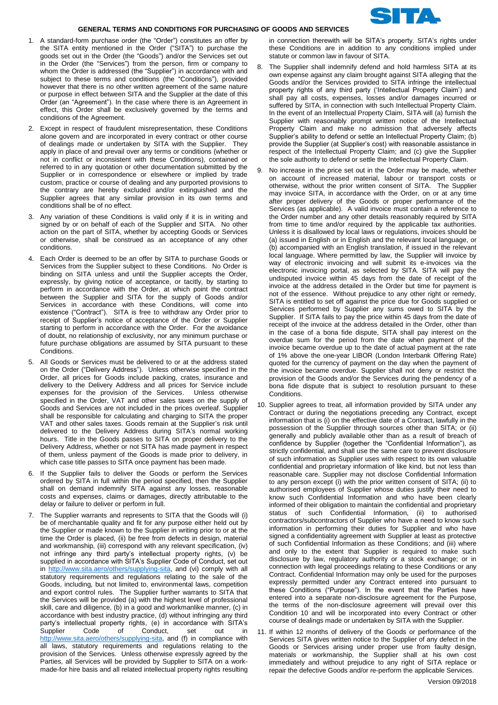

## **GENERAL TERMS AND CONDITIONS FOR PURCHASING OF GOODS AND SERVICES**

- 1. A standard-form purchase order (the "Order") constitutes an offer by the SITA entity mentioned in the Order ("SITA") to purchase the goods set out in the Order (the "Goods") and/or the Services set out in the Order (the "Services") from the person, firm or company to whom the Order is addressed (the "Supplier") in accordance with and subject to these terms and conditions (the "Conditions"), provided however that there is no other written agreement of the same nature or purpose in effect between SITA and the Supplier at the date of this Order (an "Agreement"). In the case where there is an Agreement in effect, this Order shall be exclusively governed by the terms and conditions of the Agreement.
- 2. Except in respect of fraudulent misrepresentation, these Conditions alone govern and are incorporated in every contract or other course of dealings made or undertaken by SITA with the Supplier. They apply in place of and prevail over any terms or conditions (whether or not in conflict or inconsistent with these Conditions), contained or referred to in any quotation or other documentation submitted by the Supplier or in correspondence or elsewhere or implied by trade custom, practice or course of dealing and any purported provisions to the contrary are hereby excluded and/or extinguished and the Supplier agrees that any similar provision in its own terms and conditions shall be of no effect.
- 3. Any variation of these Conditions is valid only if it is in writing and signed by or on behalf of each of the Supplier and SITA. No other action on the part of SITA, whether by accepting Goods or Services or otherwise, shall be construed as an acceptance of any other conditions.
- 4. Each Order is deemed to be an offer by SITA to purchase Goods or Services from the Supplier subject to these Conditions. No Order is binding on SITA unless and until the Supplier accepts the Order, expressly, by giving notice of acceptance, or tacitly, by starting to perform in accordance with the Order, at which point the contract between the Supplier and SITA for the supply of Goods and/or Services in accordance with these Conditions, will come into existence ("Contract"). SITA is free to withdraw any Order prior to receipt of Supplier's notice of acceptance of the Order or Supplier starting to perform in accordance with the Order. For the avoidance of doubt, no relationship of exclusivity, nor any minimum purchase or future purchase obligations are assumed by SITA pursuant to these Conditions.
- 5. All Goods or Services must be delivered to or at the address stated on the Order ("Delivery Address"). Unless otherwise specified in the Order, all prices for Goods include packing, crates, insurance and delivery to the Delivery Address and all prices for Service include expenses for the provision of the Services. Unless otherwise specified in the Order, VAT and other sales taxes on the supply of Goods and Services are not included in the prices overleaf. Supplier shall be responsible for calculating and charging to SITA the proper VAT and other sales taxes. Goods remain at the Supplier's risk until delivered to the Delivery Address during SITA's normal working hours. Title in the Goods passes to SITA on proper delivery to the Delivery Address, whether or not SITA has made payment in respect of them, unless payment of the Goods is made prior to delivery, in which case title passes to SITA once payment has been made.
- 6. If the Supplier fails to deliver the Goods or perform the Services ordered by SITA in full within the period specified, then the Supplier shall on demand indemnify SITA against any losses, reasonable costs and expenses, claims or damages, directly attributable to the delay or failure to deliver or perform in full.
- 7. The Supplier warrants and represents to SITA that the Goods will (i) be of merchantable quality and fit for any purpose either held out by the Supplier or made known to the Supplier in writing prior to or at the time the Order is placed, (ii) be free from defects in design, material and workmanship, (iii) correspond with any relevant specification, (iv) not infringe any third party's intellectual property rights, (v) be supplied in accordance with SITA's Supplier Code of Conduct, set out in [http://www.sita.aero/others/supplying-sita,](http://www.sita.aero/others/supplying-sita) and (vi) comply with all statutory requirements and regulations relating to the sale of the Goods, including, but not limited to, environmental laws, competition and export control rules. The Supplier further warrants to SITA that the Services will be provided (a) with the highest level of professional skill, care and diligence, (b) in a good and workmanlike manner, (c) in accordance with best industry practice, (d) without infringing any third party's intellectual property rights, (e) in accordance with SITA's Supplier Code of Conduct, set out in [http://www.sita.aero/others/supplying-sita,](http://www.sita.aero/others/supplying-sita) and (f) in compliance with all laws, statutory requirements and regulations relating to the provision of the Services. Unless otherwise expressly agreed by the Parties, all Services will be provided by Supplier to SITA on a workmade-for hire basis and all related intellectual property rights resulting

in connection therewith will be SITA's property. SITA's rights under these Conditions are in addition to any conditions implied under statute or common law in favour of SITA.

- 8. The Supplier shall indemnify defend and hold harmless SITA at its own expense against any claim brought against SITA alleging that the Goods and/or the Services provided to SITA infringe the intellectual property rights of any third party ('Intellectual Property Claim') and shall pay all costs, expenses, losses and/or damages incurred or suffered by SITA, in connection with such Intellectual Property Claim. In the event of an Intellectual Property Claim, SITA will (a) furnish the Supplier with reasonably prompt written notice of the Intellectual Property Claim and make no admission that adversely affects Supplier's ability to defend or settle an Intellectual Property Claim; (b) provide the Supplier (at Supplier's cost) with reasonable assistance in respect of the Intellectual Property Claim; and (c) give the Supplier the sole authority to defend or settle the Intellectual Property Claim.
- 9. No increase in the price set out in the Order may be made, whether on account of increased material, labour or transport costs or otherwise, without the prior written consent of SITA. The Supplier may invoice SITA, in accordance with the Order, on or at any time after proper delivery of the Goods or proper performance of the Services (as applicable). A valid invoice must contain a reference to the Order number and any other details reasonably required by SITA from time to time and/or required by the applicable tax authorities. Unless it is disallowed by local laws or regulations, invoices should be (a) issued in English or in English and the relevant local language, or (b) accompanied with an English translation, if issued in the relevant local language. Where permitted by law, the Supplier will invoice by way of electronic invoicing and will submit its e-invoices via the electronic invoicing portal, as selected by SITA. SITA will pay the undisputed invoice within 45 days from the date of receipt of the invoice at the address detailed in the Order but time for payment is not of the essence. Without prejudice to any other right or remedy, SITA is entitled to set off against the price due for Goods supplied or Services performed by Supplier any sums owed to SITA by the Supplier. If SITA fails to pay the price within 45 days from the date of receipt of the invoice at the address detailed in the Order, other than in the case of a bona fide dispute, SITA shall pay interest on the overdue sum for the period from the date when payment of the invoice became overdue up to the date of actual payment at the rate of 1% above the one-year LIBOR (London Interbank Offering Rate) quoted for the currency of payment on the day when the payment of the invoice became overdue. Supplier shall not deny or restrict the provision of the Goods and/or the Services during the pendency of a bona fide dispute that is subject to resolution pursuant to these Conditions.
- 10. Supplier agrees to treat, all information provided by SITA under any Contract or during the negotiations preceding any Contract, except information that is (i) on the effective date of a Contract, lawfully in the possession of the Supplier through sources other than SITA; or (ii) generally and publicly available other than as a result of breach of confidence by Supplier (together the "Confidential Information"), as strictly confidential, and shall use the same care to prevent disclosure of such information as Supplier uses with respect to its own valuable confidential and proprietary information of like kind, but not less than reasonable care. Supplier may not disclose Confidential Information to any person except (i) with the prior written consent of SITA; (ii) to authorised employees of Supplier whose duties justify their need to know such Confidential Information and who have been clearly informed of their obligation to maintain the confidential and proprietary status of such Confidential Information, (ii) to authorised contractors/subcontractors of Supplier who have a need to know such information in performing their duties for Supplier and who have signed a confidentiality agreement with Supplier at least as protective of such Confidential Information as these Conditions; and (iii) where and only to the extent that Supplier is required to make such disclosure by law, regulatory authority or a stock exchange; or in connection with legal proceedings relating to these Conditions or any Contract. Confidential Information may only be used for the purposes expressly permitted under any Contract entered into pursuant to these Conditions ("Purpose"). In the event that the Parties have entered into a separate non-disclosure agreement for the Purpose, the terms of the non-disclosure agreement will prevail over this Condition 10 and will be incorporated into every Contract or other course of dealings made or undertaken by SITA with the Supplier.
- 11. If within 12 months of delivery of the Goods or performance of the Services SITA gives written notice to the Supplier of any defect in the Goods or Services arising under proper use from faulty design, materials or workmanship, the Supplier shall at his own cost immediately and without prejudice to any right of SITA replace or repair the defective Goods and/or re-perform the applicable Services.